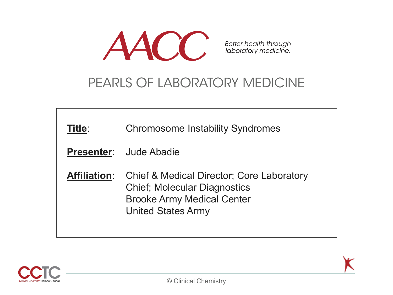

Better health through<br>laboratory medicine.

# PEARLS OF LABORATORY MEDICINE

| Title:              | <b>Chromosome Instability Syndromes</b><br><b>Presenter:</b> Jude Abadie                                                                                      |
|---------------------|---------------------------------------------------------------------------------------------------------------------------------------------------------------|
| <b>Affiliation:</b> | <b>Chief &amp; Medical Director; Core Laboratory</b><br><b>Chief; Molecular Diagnostics</b><br><b>Brooke Army Medical Center</b><br><b>United States Army</b> |

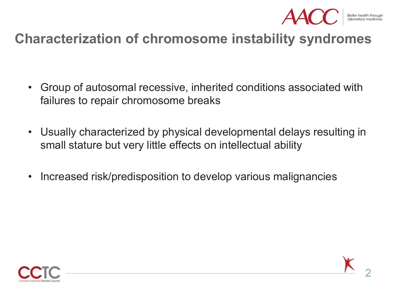

# **Characterization of chromosome instability syndromes**

- Group of autosomal recessive, inherited conditions associated with failures to repair chromosome breaks
- Usually characterized by physical developmental delays resulting in small stature but very little effects on intellectual ability
- Increased risk/predisposition to develop various malignancies

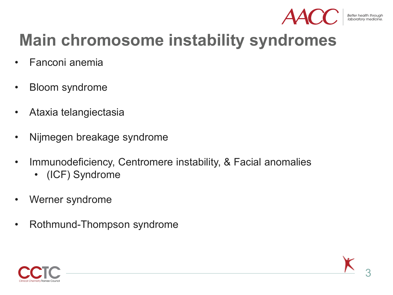

# **Main chromosome instability syndromes**

- Fanconi anemia
- Bloom syndrome
- Ataxia telangiectasia
- Nijmegen breakage syndrome
- Immunodeficiency, Centromere instability, & Facial anomalies
	- (ICF) Syndrome
- Werner syndrome
- Rothmund-Thompson syndrome

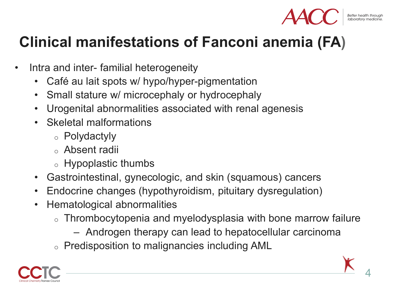

# **Clinical manifestations of Fanconi anemia (FA)**

- Intra and inter- familial heterogeneity
	- Café au lait spots w/ hypo/hyper-pigmentation
	- Small stature w/ microcephaly or hydrocephaly
	- Urogenital abnormalities associated with renal agenesis
	- Skeletal malformations
		- <sup>o</sup> Polydactyly
		- <sup>o</sup> Absent radii
		- <sup>o</sup> Hypoplastic thumbs
	- Gastrointestinal, gynecologic, and skin (squamous) cancers
	- Endocrine changes (hypothyroidism, pituitary dysregulation)
	- Hematological abnormalities
		- $\circ$  Thrombocytopenia and myelodysplasia with bone marrow failure
			- Androgen therapy can lead to hepatocellular carcinoma
		- <sup>o</sup> Predisposition to malignancies including AML

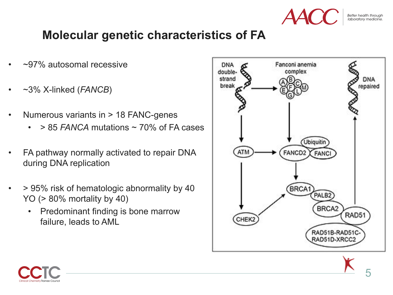

## **Molecular genetic characteristics of FA**

- ~97% autosomal recessive
- ~3% X-linked (*FANCB*)
- Numerous variants in > 18 FANC-genes
	- > 85 *FANCA* mutations ~ 70% of FA cases
- FA pathway normally activated to repair DNA during DNA replication
- > 95% risk of hematologic abnormality by 40 YO (> 80% mortality by 40)
	- Predominant finding is bone marrow failure, leads to AML



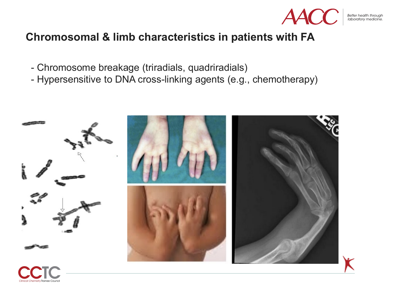

Better health through<br>laboratory medicine.

### **Chromosomal & limb characteristics in patients with FA**

- Chromosome breakage (triradials, quadriradials)
- Hypersensitive to DNA cross-linking agents (e.g., chemotherapy)

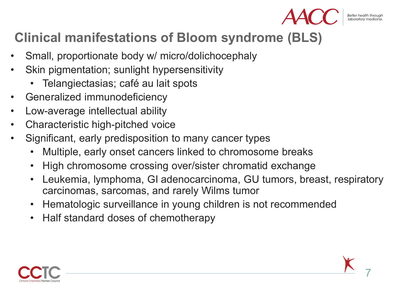

7

# **Clinical manifestations of Bloom syndrome (BLS)**

- Small, proportionate body w/ micro/dolichocephaly
- Skin pigmentation; sunlight hypersensitivity
	- Telangiectasias; café au lait spots
- Generalized immunodeficiency
- Low-average intellectual ability
- Characteristic high-pitched voice
- Significant, early predisposition to many cancer types
	- Multiple, early onset cancers linked to chromosome breaks
	- High chromosome crossing over/sister chromatid exchange
	- Leukemia, lymphoma, GI adenocarcinoma, GU tumors, breast, respiratory carcinomas, sarcomas, and rarely Wilms tumor
	- Hematologic surveillance in young children is not recommended
	- Half standard doses of chemotherapy

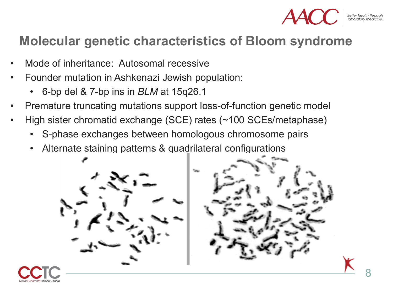

## **Molecular genetic characteristics of Bloom syndrome**

- Mode of inheritance: Autosomal recessive
- Founder mutation in Ashkenazi Jewish population:
	- 6-bp del & 7-bp ins in *BLM* at 15q26.1
- Premature truncating mutations support loss-of-function genetic model
- High sister chromatid exchange (SCE) rates (~100 SCEs/metaphase)
	- S-phase exchanges between homologous chromosome pairs
	- Alternate staining patterns & quadrilateral configurations



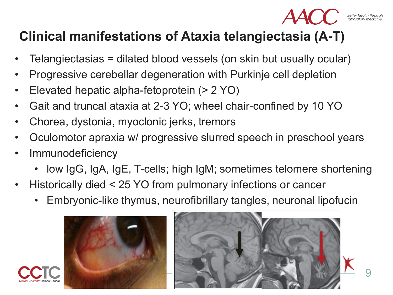9

# **Clinical manifestations of Ataxia telangiectasia (A-T)**

- Telangiectasias = dilated blood vessels (on skin but usually ocular)
- Progressive cerebellar degeneration with Purkinje cell depletion
- Elevated hepatic alpha-fetoprotein (> 2 YO)
- Gait and truncal ataxia at 2-3 YO; wheel chair-confined by 10 YO
- Chorea, dystonia, myoclonic jerks, tremors
- Oculomotor apraxia w/ progressive slurred speech in preschool years
- **Immunodeficiency** 
	- low IgG, IgA, IgE, T-cells; high IgM; sometimes telomere shortening
- Historically died < 25 YO from pulmonary infections or cancer
	- Embryonic-like thymus, neurofibrillary tangles, neuronal lipofucin



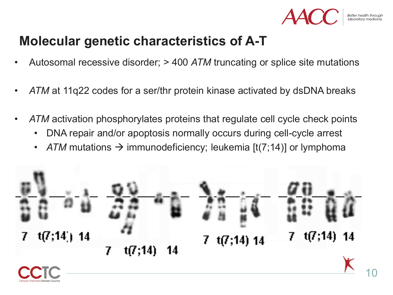

# **Molecular genetic characteristics of A-T**

- Autosomal recessive disorder; > 400 *ATM* truncating or splice site mutations
- *ATM* at 11q22 codes for a ser/thr protein kinase activated by dsDNA breaks
- *ATM* activation phosphorylates proteins that regulate cell cycle check points
	- DNA repair and/or apoptosis normally occurs during cell-cycle arrest
	- *ATM* mutations  $\rightarrow$  immunodeficiency; leukemia  $[t(7,14)]$  or lymphoma

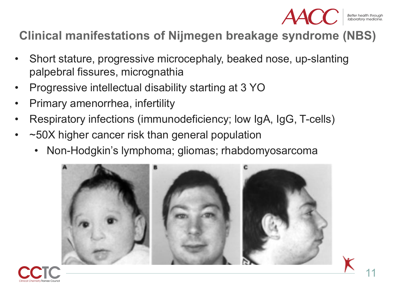

Better health through<br>laboratory medicine

## **Clinical manifestations of Nijmegen breakage syndrome (NBS)**

- Short stature, progressive microcephaly, beaked nose, up-slanting palpebral fissures, micrognathia
- Progressive intellectual disability starting at 3 YO
- Primary amenorrhea, infertility
- Respiratory infections (immunodeficiency; low IgA, IgG, T-cells)
- ~50X higher cancer risk than general population
	- Non-Hodgkin's lymphoma; gliomas; rhabdomyosarcoma



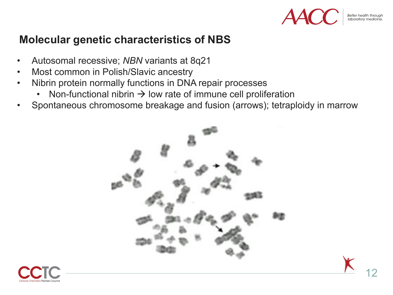

### **Molecular genetic characteristics of NBS**

- Autosomal recessive; *NBN* variants at 8q21
- Most common in Polish/Slavic ancestry
- Nibrin protein normally functions in DNA repair processes
	- Non-functional nibrin  $\rightarrow$  low rate of immune cell proliferation
- Spontaneous chromosome breakage and fusion (arrows); tetraploidy in marrow



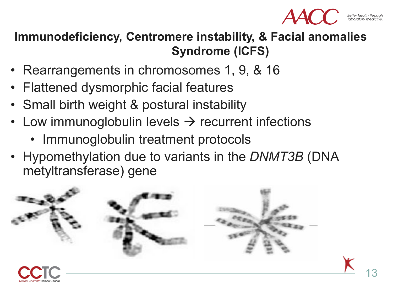

# **Immunodeficiency, Centromere instability, & Facial anomalies Syndrome (ICFS)**

- Rearrangements in chromosomes 1, 9, & 16
- Flattened dysmorphic facial features
- Small birth weight & postural instability
- Low immunoglobulin levels  $\rightarrow$  recurrent infections
	- Immunoglobulin treatment protocols
- Hypomethylation due to variants in the *DNMT3B* (DNA metyltransferase) gene

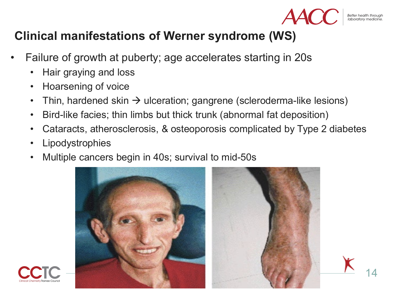

14

### **Clinical manifestations of Werner syndrome (WS)**

- Failure of growth at puberty; age accelerates starting in 20s
	- Hair graying and loss
	- Hoarsening of voice
	- Thin, hardened skin  $\rightarrow$  ulceration; gangrene (scleroderma-like lesions)
	- Bird-like facies; thin limbs but thick trunk (abnormal fat deposition)
	- Cataracts, atherosclerosis, & osteoporosis complicated by Type 2 diabetes
	- **Lipodystrophies**
	- Multiple cancers begin in 40s; survival to mid-50s



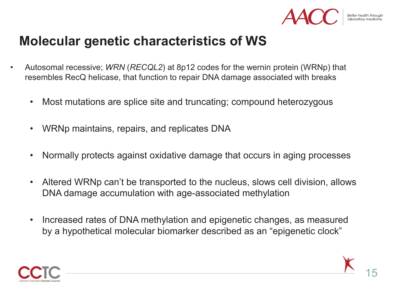

# **Molecular genetic characteristics of WS**

- Autosomal recessive; *WRN* (*RECQL2*) at 8p12 codes for the wernin protein (WRNp) that resembles RecQ helicase, that function to repair DNA damage associated with breaks
	- Most mutations are splice site and truncating; compound heterozygous
	- WRNp maintains, repairs, and replicates DNA
	- Normally protects against oxidative damage that occurs in aging processes
	- Altered WRNp can't be transported to the nucleus, slows cell division, allows DNA damage accumulation with age-associated methylation
	- Increased rates of DNA methylation and epigenetic changes, as measured by a hypothetical molecular biomarker described as an "epigenetic clock"

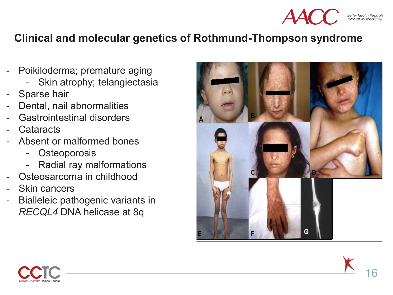

### **Clinical and molecular genetics of Rothmund-Thompson syndrome**

- Poikiloderma; premature aging
	- Skin atrophy; telangiectasia
- Sparse hair
- Dental, nail abnormalities
- Gastrointestinal disorders
- Cataracts
- Absent or malformed bones
	- **Osteoporosis**
	- Radial ray malformations
- Osteosarcoma in childhood
- Skin cancers
- Bialleleic pathogenic variants in *RECQL4* DNA helicase at 8q



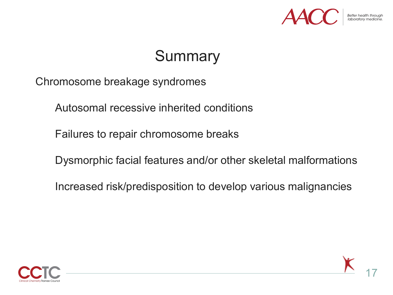

# **Summary**

Chromosome breakage syndromes

Autosomal recessive inherited conditions

Failures to repair chromosome breaks

Dysmorphic facial features and/or other skeletal malformations

Increased risk/predisposition to develop various malignancies



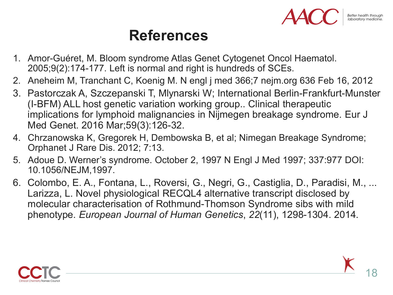# **References**

- 1. Amor-Guéret, M. Bloom syndrome Atlas Genet Cytogenet Oncol Haematol. 2005;9(2):174-177. Left is normal and right is hundreds of SCEs.
- 2. Aneheim M, Tranchant C, Koenig M. N engl j med 366;7 nejm.org 636 Feb 16, 2012
- 3. Pastorczak A, Szczepanski T, Mlynarski W; International Berlin-Frankfurt-Munster (I-BFM) ALL host genetic variation working group.. Clinical therapeutic implications for lymphoid malignancies in Nijmegen breakage syndrome. Eur J Med Genet. 2016 Mar;59(3):126-32.
- 4. Chrzanowska K, Gregorek H, Dembowska B, et al; Nimegan Breakage Syndrome; Orphanet J Rare Dis. 2012; 7:13.
- 5. Adoue D. Werner's syndrome. October 2, 1997 N Engl J Med 1997; 337:977 DOI: 10.1056/NEJM,1997.
- 6. Colombo, E. A., Fontana, L., Roversi, G., Negri, G., Castiglia, D., Paradisi, M., ... Larizza, L. Novel physiological RECQL4 alternative transcript disclosed by molecular characterisation of Rothmund-Thomson Syndrome sibs with mild phenotype. *European Journal of Human Genetics*, *22*(11), 1298-1304. 2014.

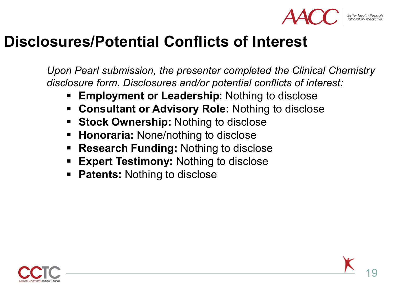

# **Disclosures/Potential Conflicts of Interest**

*Upon Pearl submission, the presenter completed the Clinical Chemistry disclosure form. Disclosures and/or potential conflicts of interest:*

- **Employment or Leadership**: Nothing to disclose
- **Consultant or Advisory Role:** Nothing to disclose
- **Stock Ownership:** Nothing to disclose
- **Honoraria: None/nothing to disclose**
- **Research Funding:** Nothing to disclose
- **Expert Testimony:** Nothing to disclose
- **Patents: Nothing to disclose**